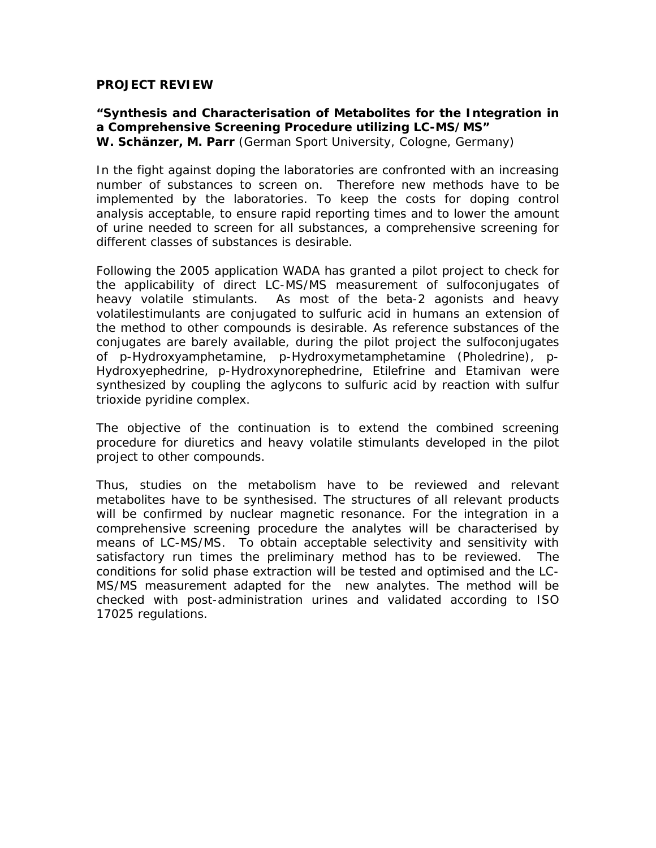## **PROJECT REVIEW**

## **"Synthesis and Characterisation of Metabolites for the Integration in a Comprehensive Screening Procedure utilizing LC-MS/MS" W. Schänzer, M. Parr** (German Sport University, Cologne, Germany)

In the fight against doping the laboratories are confronted with an increasing number of substances to screen on. Therefore new methods have to be implemented by the laboratories. To keep the costs for doping control analysis acceptable, to ensure rapid reporting times and to lower the amount of urine needed to screen for all substances, a comprehensive screening for different classes of substances is desirable.

Following the 2005 application WADA has granted a pilot project to check for the applicability of direct LC-MS/MS measurement of sulfoconjugates of heavy volatile stimulants. As most of the beta-2 agonists and heavy volatilestimulants are conjugated to sulfuric acid in humans an extension of the method to other compounds is desirable. As reference substances of the conjugates are barely available, during the pilot project the sulfoconjugates of p-Hydroxyamphetamine, p-Hydroxymetamphetamine (Pholedrine), p-Hydroxyephedrine, p-Hydroxynorephedrine, Etilefrine and Etamivan were synthesized by coupling the aglycons to sulfuric acid by reaction with sulfur trioxide pyridine complex.

The objective of the continuation is to extend the combined screening procedure for diuretics and heavy volatile stimulants developed in the pilot project to other compounds.

Thus, studies on the metabolism have to be reviewed and relevant metabolites have to be synthesised. The structures of all relevant products will be confirmed by nuclear magnetic resonance. For the integration in a comprehensive screening procedure the analytes will be characterised by means of LC-MS/MS. To obtain acceptable selectivity and sensitivity with satisfactory run times the preliminary method has to be reviewed. The conditions for solid phase extraction will be tested and optimised and the LC-MS/MS measurement adapted for the new analytes. The method will be checked with post-administration urines and validated according to ISO 17025 regulations.